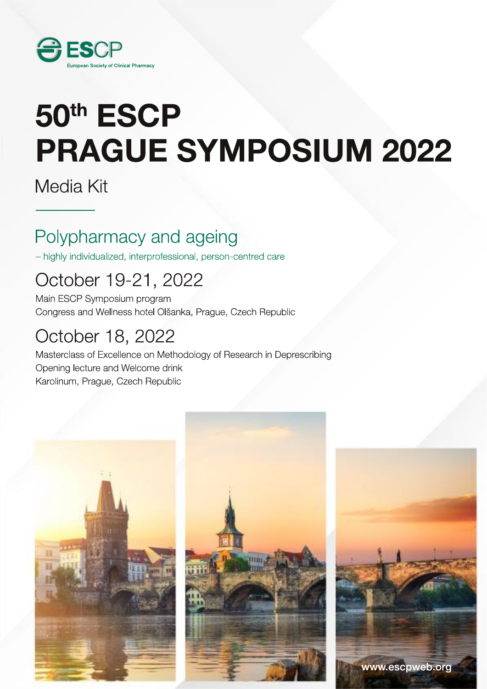

# 50th ESCP **PRAGUE SYMPOSIUM 2022**

Media Kit

# Polypharmacy and ageing

- highly individualized, interprofessional, person-centred care

# October 19-21, 2022

Main ESCP Symposium program Congress and Wellness hotel Olšanka, Prague, Czech Republic

# October 18, 2022

Masterclass of Excellence on Methodology of Research in Deprescribing Opening lecture and Welcome drink Karolinum, Prague, Czech Republic

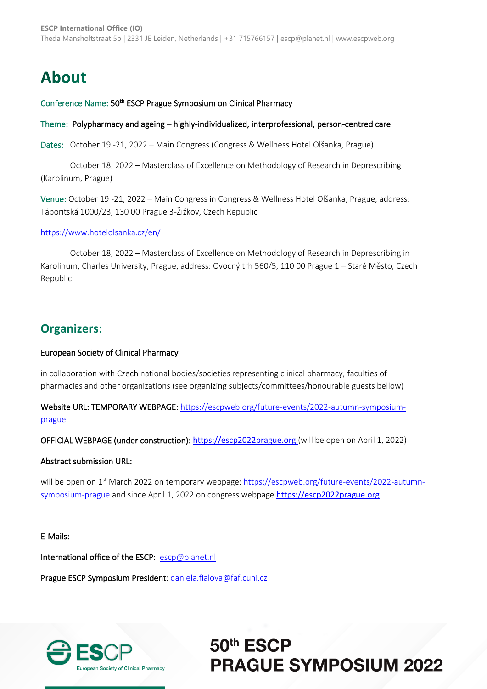# **About**

#### Conference Name: 50<sup>th</sup> ESCP Prague Symposium on Clinical Pharmacy

#### Theme: Polypharmacy and ageing – highly-individualized, interprofessional, person-centred care

Dates: October 19 -21, 2022 – Main Congress (Congress & Wellness Hotel Olšanka, Prague)

October 18, 2022 – Masterclass of Excellence on Methodology of Research in Deprescribing (Karolinum, Prague)

Venue: October 19 -21, 2022 – Main Congress in Congress & Wellness Hotel Olšanka, Prague, address: Táboritská 1000/23, 130 00 Prague 3-Žižkov, Czech Republic

#### <https://www.hotelolsanka.cz/en/>

October 18, 2022 – Masterclass of Excellence on Methodology of Research in Deprescribing in Karolinum, Charles University, Prague, address: Ovocný trh 560/5, 110 00 Prague 1 – Staré Město, Czech Republic

### **Organizers:**

#### European Society of Clinical Pharmacy

in collaboration with Czech national bodies/societies representing clinical pharmacy, faculties of pharmacies and other organizations (see organizing subjects/committees/honourable guests bellow)

Website URL: TEMPORARY WEBPAGE[: https://escpweb.org/future-events/2022-autumn-symposium](https://escpweb.org/future-events/2022-autumn-symposium-prague)[prague](https://escpweb.org/future-events/2022-autumn-symposium-prague)

OFFICIAL WEBPAGE (under construction): [https://escp2022prague.org](https://escp2022prague.org/) (will be open on April 1, 2022)

#### Abstract submission URL:

will be open on 1<sup>st</sup> March 2022 on temporary webpage[: https://escpweb.org/future-events/2022-autumn](https://escpweb.org/future-events/2022-autumn-symposium-prague)[symposium-prague](https://escpweb.org/future-events/2022-autumn-symposium-prague) and since April 1, 2022 on congress webpage [https://escp2022prague.org](https://escp2022prague.org/)

#### E-Mails:

International office of the ESCP: [escp@planet.nl](mailto:escp@planet.nl?subject=ESCP%20Symposium%20Prague%202022)

Prague ESCP Symposium President[: daniela.fialova@faf.cuni.cz](mailto:daniela.fialova@faf.cuni.cz?subject=ESCP%20Symposium%20Prague%202022)

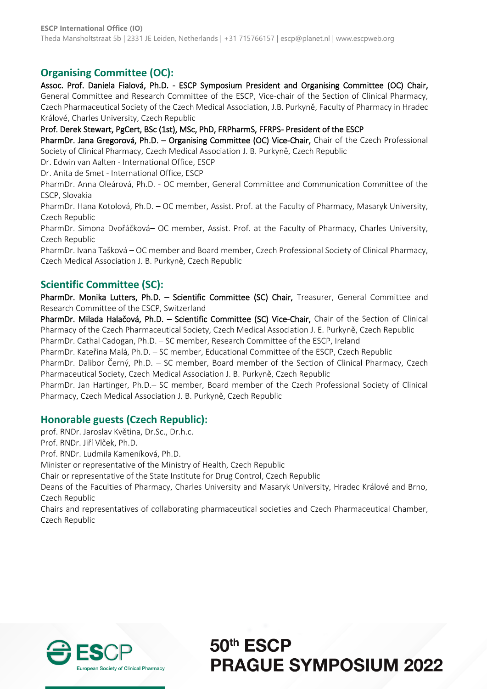### **Organising Committee (OC):**

Assoc. Prof. Daniela Fialová, Ph.D. - ESCP Symposium President and Organising Committee (OC) Chair, General Committee and Research Committee of the ESCP, Vice-chair of the Section of Clinical Pharmacy, Czech Pharmaceutical Society of the Czech Medical Association, J.B. Purkyně, Faculty of Pharmacy in Hradec Králové, Charles University, Czech Republic

Prof. Derek Stewart, PgCert, BSc (1st), MSc, PhD, FRPharmS, FFRPS- President of the ESCP

PharmDr. Jana Gregorová, Ph.D. - Organising Committee (OC) Vice-Chair, Chair of the Czech Professional Society of Clinical Pharmacy, Czech Medical Association J. B. Purkyně, Czech Republic

Dr. Edwin van Aalten - International Office, ESCP

Dr. Anita de Smet - International Office, ESCP

PharmDr. Anna Oleárová, Ph.D. - OC member, General Committee and Communication Committee of the ESCP, Slovakia

PharmDr. Hana Kotolová, Ph.D. – OC member, Assist. Prof. at the Faculty of Pharmacy, Masaryk University, Czech Republic

PharmDr. Simona Dvořáčková– OC member, Assist. Prof. at the Faculty of Pharmacy, Charles University, Czech Republic

PharmDr. Ivana Tašková – OC member and Board member, Czech Professional Society of Clinical Pharmacy, Czech Medical Association J. B. Purkyně, Czech Republic

### **Scientific Committee (SC):**

PharmDr. Monika Lutters, Ph.D. - Scientific Committee (SC) Chair, Treasurer, General Committee and Research Committee of the ESCP, Switzerland

PharmDr. Milada Halačová, Ph.D. – Scientific Committee (SC) Vice-Chair, Chair of the Section of Clinical Pharmacy of the Czech Pharmaceutical Society, Czech Medical Association J. E. Purkyně, Czech Republic

PharmDr. Cathal Cadogan, Ph.D. – SC member, Research Committee of the ESCP, Ireland

PharmDr. Kateřina Malá, Ph.D. – SC member, Educational Committee of the ESCP, Czech Republic PharmDr. Dalibor Černý, Ph.D. – SC member, Board member of the Section of Clinical Pharmacy, Czech

Pharmaceutical Society, Czech Medical Association J. B. Purkyně, Czech Republic

PharmDr. Jan Hartinger, Ph.D.– SC member, Board member of the Czech Professional Society of Clinical Pharmacy, Czech Medical Association J. B. Purkyně, Czech Republic

### **Honorable guests (Czech Republic):**

prof. RNDr. Jaroslav Květina, Dr.Sc., Dr.h.c.

Prof. RNDr. Jiří Vlček, Ph.D.

Prof. RNDr. Ludmila Kameníková, Ph.D.

Minister or representative of the Ministry of Health, Czech Republic

Chair or representative of the State Institute for Drug Control, Czech Republic

Deans of the Faculties of Pharmacy, Charles University and Masaryk University, Hradec Králové and Brno, Czech Republic

Chairs and representatives of collaborating pharmaceutical societies and Czech Pharmaceutical Chamber, Czech Republic

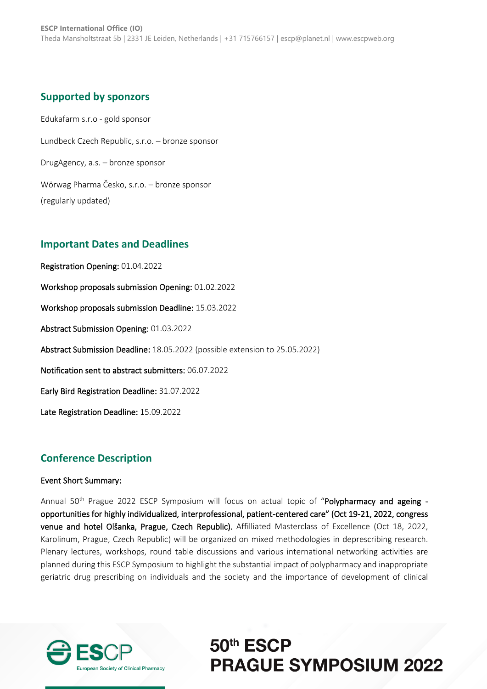### **Supported by sponzors**

Edukafarm s.r.o - gold sponsor Lundbeck Czech Republic, s.r.o. – bronze sponsor DrugAgency, a.s. – bronze sponsor Wörwag Pharma Česko, s.r.o. – bronze sponsor (regularly updated)

### **Important Dates and Deadlines**

Registration Opening: 01.04.2022 Workshop proposals submission Opening: 01.02.2022 Workshop proposals submission Deadline: 15.03.2022 Abstract Submission Opening: 01.03.2022 Abstract Submission Deadline: 18.05.2022 (possible extension to 25.05.2022) Notification sent to abstract submitters: 06.07.2022 Early Bird Registration Deadline: 31.07.2022 Late Registration Deadline: 15.09.2022

### **Conference Description**

#### Event Short Summary:

Annual 50<sup>th</sup> Prague 2022 ESCP Symposium will focus on actual topic of "Polypharmacy and ageing opportunities for highly individualized, interprofessional, patient-centered care" (Oct 19-21, 2022, congress venue and hotel Olšanka, Prague, Czech Republic). Affilliated Masterclass of Excellence (Oct 18, 2022, Karolinum, Prague, Czech Republic) will be organized on mixed methodologies in deprescribing research. Plenary lectures, workshops, round table discussions and various international networking activities are planned during this ESCP Symposium to highlight the substantial impact of polypharmacy and inappropriate geriatric drug prescribing on individuals and the society and the importance of development of clinical

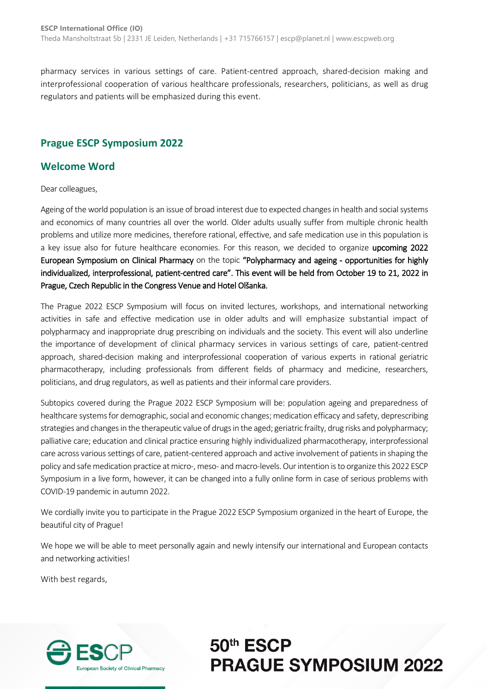pharmacy services in various settings of care. Patient-centred approach, shared-decision making and interprofessional cooperation of various healthcare professionals, researchers, politicians, as well as drug regulators and patients will be emphasized during this event.

### **Prague ESCP Symposium 2022**

### **Welcome Word**

Dear colleagues,

Ageing of the world population is an issue of broad interest due to expected changes in health and social systems and economics of many countries all over the world. Older adults usually suffer from multiple chronic health problems and utilize more medicines, therefore rational, effective, and safe medication use in this population is a key issue also for future healthcare economies. For this reason, we decided to organize upcoming 2022 European Symposium on Clinical Pharmacy on the topic "Polypharmacy and ageing - opportunities for highly individualized, interprofessional, patient-centred care". This event will be held from October 19 to 21, 2022 in Prague, Czech Republic in the Congress Venue and Hotel Olšanka.

The Prague 2022 ESCP Symposium will focus on invited lectures, workshops, and international networking activities in safe and effective medication use in older adults and will emphasize substantial impact of polypharmacy and inappropriate drug prescribing on individuals and the society. This event will also underline the importance of development of clinical pharmacy services in various settings of care, patient-centred approach, shared-decision making and interprofessional cooperation of various experts in rational geriatric pharmacotherapy, including professionals from different fields of pharmacy and medicine, researchers, politicians, and drug regulators, as well as patients and their informal care providers.

Subtopics covered during the Prague 2022 ESCP Symposium will be: population ageing and preparedness of healthcare systems for demographic, social and economic changes; medication efficacy and safety, deprescribing strategies and changes in the therapeutic value of drugs in the aged; geriatric frailty, drug risks and polypharmacy; palliative care; education and clinical practice ensuring highly individualized pharmacotherapy, interprofessional care across various settings of care, patient-centered approach and active involvement of patients in shaping the policy and safe medication practice at micro-, meso- and macro-levels. Our intention is to organize this 2022 ESCP Symposium in a live form, however, it can be changed into a fully online form in case of serious problems with COVID-19 pandemic in autumn 2022.

We cordially invite you to participate in the Prague 2022 ESCP Symposium organized in the heart of Europe, the beautiful city of Prague!

We hope we will be able to meet personally again and newly intensify our international and European contacts and networking activities!

With best regards,

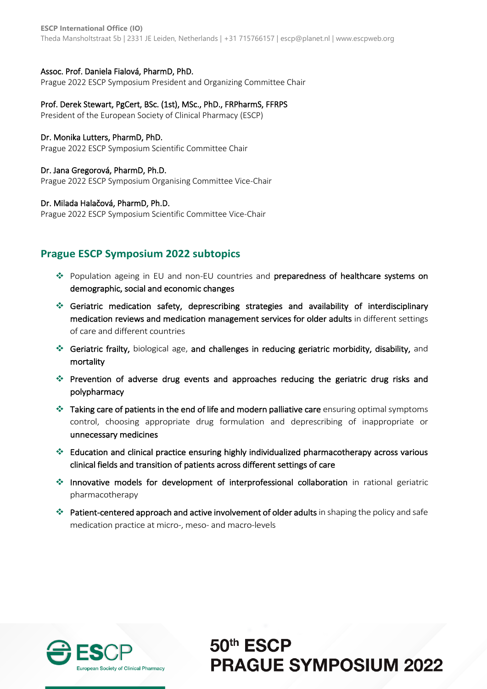**ESCP International Office (IO)** Theda Mansholtstraat 5b | 2331 JE Leiden, Netherlands | +31 715766157 | escp@planet.nl | www.escpweb.org

#### Assoc. Prof. Daniela Fialová, PharmD, PhD.

Prague 2022 ESCP Symposium President and Organizing Committee Chair

#### Prof. Derek Stewart, PgCert, BSc. (1st), MSc., PhD., FRPharmS, FFRPS

President of the European Society of Clinical Pharmacy (ESCP)

#### Dr. Monika Lutters, PharmD, PhD.

Prague 2022 ESCP Symposium Scientific Committee Chair

#### Dr. Jana Gregorová, PharmD, Ph.D.

Prague 2022 ESCP Symposium Organising Committee Vice-Chair

#### Dr. Milada Halačová, PharmD, Ph.D.

Prague 2022 ESCP Symposium Scientific Committee Vice-Chair

### **Prague ESCP Symposium 2022 subtopics**

- ❖ Population ageing in EU and non-EU countries and preparedness of healthcare systems on demographic, social and economic changes
- ❖ Geriatric medication safety, deprescribing strategies and availability of interdisciplinary medication reviews and medication management services for older adults in different settings of care and different countries
- ❖ Geriatric frailty, biological age, and challenges in reducing geriatric morbidity, disability, and mortality
- ❖ Prevention of adverse drug events and approaches reducing the geriatric drug risks and polypharmacy
- ❖ Taking care of patients in the end of life and modern palliative care ensuring optimal symptoms control, choosing appropriate drug formulation and deprescribing of inappropriate or unnecessary medicines
- ❖ Education and clinical practice ensuring highly individualized pharmacotherapy across various clinical fields and transition of patients across different settings of care
- ❖ Innovative models for development of interprofessional collaboration in rational geriatric pharmacotherapy
- ❖ Patient-centered approach and active involvement of older adults in shaping the policy and safe medication practice at micro-, meso- and macro-levels

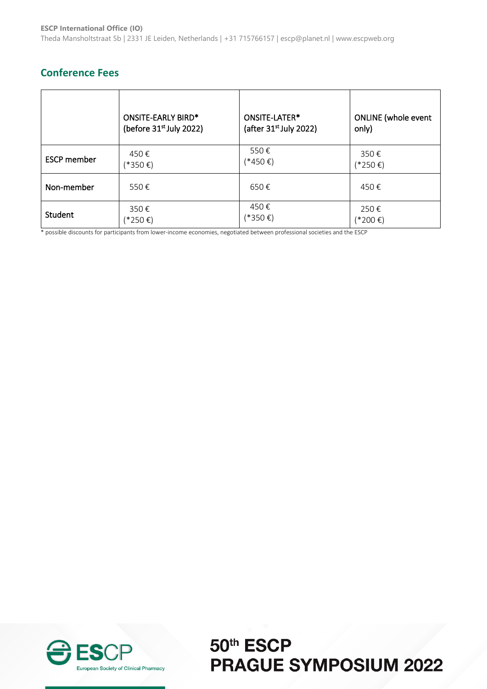### **Conference Fees**

|                    | ONSITE-EARLY BIRD*        | ONSITE-LATER*            | <b>ONLINE</b> (whole event |
|--------------------|---------------------------|--------------------------|----------------------------|
|                    | (before $31st$ July 2022) | (after $31st$ July 2022) | only)                      |
| <b>ESCP</b> member | 450€                      | 550€                     | 350€                       |
|                    | (*350€)                   | (*450€)                  | (*250€)                    |
| Non-member         | 550€                      | 650€                     | 450€                       |
| Student            | 350€                      | 450€                     | 250€                       |
|                    | (*250€)                   | (*350€)                  | (*200€)                    |

\* possible discounts for participants from lower-income economies, negotiated between professional societies and the ESCP

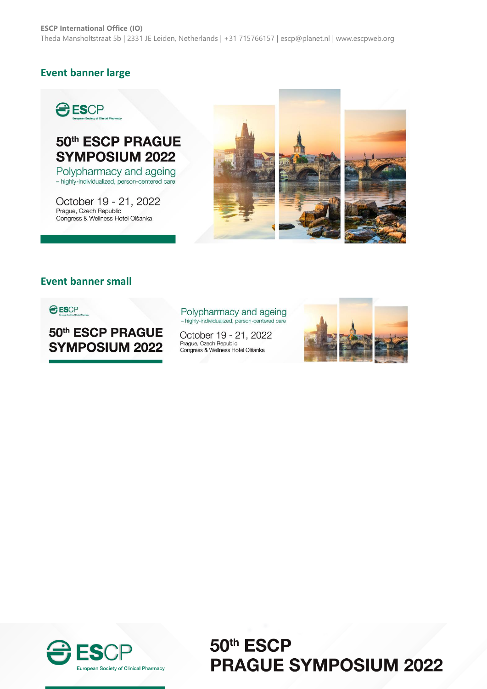### **Event banner large**



## 50th ESCP PRAGUE **SYMPOSIUM 2022**

Polypharmacy and ageing - highly-individualized, person-centered care

October 19 - 21, 2022 Prague, Czech Republic Congress & Wellness Hotel Olšanka



### **Event banner small**

**O ESCP** 

50th ESCP PRAGUE **SYMPOSIUM 2022** 

Polypharmacy and ageing<br>- highly-individualized, person-centered care

October 19 - 21, 2022 Prague, Czech Republic<br>Congress & Wellness Hotel Olšanka



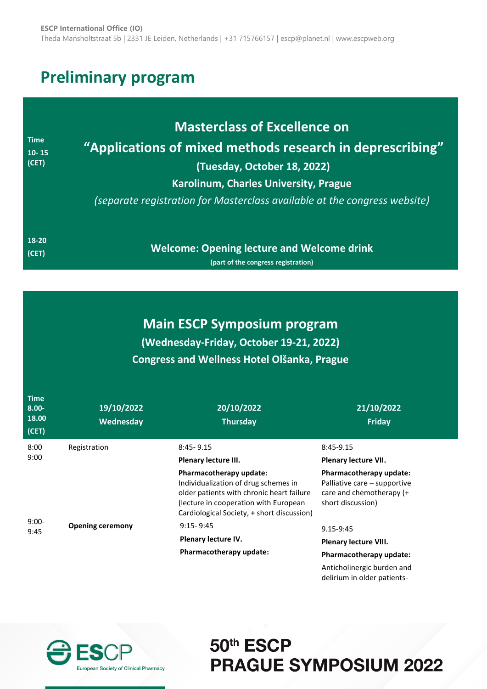# **Preliminary program**

| <b>Time</b><br>$10 - 15$<br>(CET) | <b>Masterclass of Excellence on</b><br>"Applications of mixed methods research in deprescribing"<br>(Tuesday, October 18, 2022)<br>Karolinum, Charles University, Prague<br>(separate registration for Masterclass available at the congress website) |  |
|-----------------------------------|-------------------------------------------------------------------------------------------------------------------------------------------------------------------------------------------------------------------------------------------------------|--|
| 18-20                             | <b>Welcome: Opening lecture and Welcome drink</b>                                                                                                                                                                                                     |  |
| (CET)                             | (part of the congress registration)                                                                                                                                                                                                                   |  |

### **Main ESCP Symposium program (Wednesday-Friday, October 19-21, 2022) Congress and Wellness Hotel Olšanka, Prague**

| <b>Time</b><br>$8.00 -$<br>18.00<br>(CET) | 19/10/2022<br>Wednesday | 20/10/2022<br><b>Thursday</b>                                                                                                                                                                       | 21/10/2022<br>Friday                                                                                     |
|-------------------------------------------|-------------------------|-----------------------------------------------------------------------------------------------------------------------------------------------------------------------------------------------------|----------------------------------------------------------------------------------------------------------|
| 8:00                                      | Registration            | $8:45 - 9.15$                                                                                                                                                                                       | 8:45-9.15                                                                                                |
| 9:00                                      |                         | Plenary lecture III.                                                                                                                                                                                | Plenary lecture VII.                                                                                     |
|                                           |                         | Pharmacotherapy update:<br>Individualization of drug schemes in<br>older patients with chronic heart failure<br>(lecture in cooperation with European<br>Cardiological Society, + short discussion) | Pharmacotherapy update:<br>Palliative care – supportive<br>care and chemotherapy (+<br>short discussion) |
| $9:00-$<br>9:45                           | <b>Opening ceremony</b> | $9:15 - 9:45$                                                                                                                                                                                       | 9.15-9:45                                                                                                |
|                                           |                         | Plenary lecture IV.<br>Pharmacotherapy update:                                                                                                                                                      | <b>Plenary lecture VIII.</b>                                                                             |
|                                           |                         |                                                                                                                                                                                                     | Pharmacotherapy update:                                                                                  |
|                                           |                         |                                                                                                                                                                                                     | Anticholinergic burden and                                                                               |

delirium in older patients-

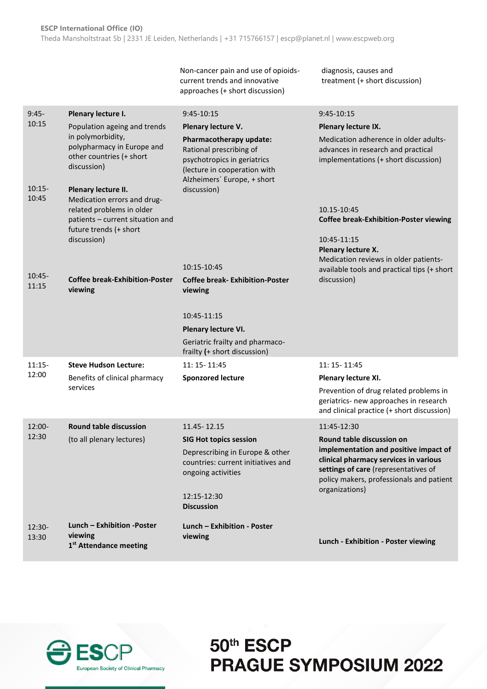Non-cancer pain and use of opioidscurrent trends and innovative approaches (+ short discussion)

diagnosis, causes and treatment (+ short discussion)

| $9:45-$           | Plenary lecture I.                                                                                                                            | 9:45-10:15                                                                                                                                       | $9:45-10:15$                                                                                                                                                                         |
|-------------------|-----------------------------------------------------------------------------------------------------------------------------------------------|--------------------------------------------------------------------------------------------------------------------------------------------------|--------------------------------------------------------------------------------------------------------------------------------------------------------------------------------------|
| 10:15             | Population ageing and trends                                                                                                                  | Plenary lecture V.                                                                                                                               | Plenary lecture IX.                                                                                                                                                                  |
|                   | in polymorbidity,<br>polypharmacy in Europe and<br>other countries (+ short<br>discussion)                                                    | Pharmacotherapy update:<br>Rational prescribing of<br>psychotropics in geriatrics<br>(lecture in cooperation with<br>Alzheimers' Europe, + short | Medication adherence in older adults-<br>advances in research and practical<br>implementations (+ short discussion)                                                                  |
| $10:15-$<br>10:45 | Plenary lecture II.<br>Medication errors and drug-<br>related problems in older<br>patients - current situation and<br>future trends (+ short | discussion)                                                                                                                                      |                                                                                                                                                                                      |
|                   |                                                                                                                                               |                                                                                                                                                  | 10.15-10:45<br><b>Coffee break-Exhibition-Poster viewing</b>                                                                                                                         |
|                   | discussion)                                                                                                                                   |                                                                                                                                                  | 10:45-11:15<br>Plenary lecture X.                                                                                                                                                    |
|                   |                                                                                                                                               | 10:15-10:45                                                                                                                                      | Medication reviews in older patients-<br>available tools and practical tips (+ short                                                                                                 |
| $10:45-$<br>11:15 | <b>Coffee break-Exhibition-Poster</b><br>viewing                                                                                              | <b>Coffee break-Exhibition-Poster</b><br>viewing                                                                                                 | discussion)                                                                                                                                                                          |
|                   |                                                                                                                                               | 10:45-11:15                                                                                                                                      |                                                                                                                                                                                      |
|                   |                                                                                                                                               | Plenary lecture VI.                                                                                                                              |                                                                                                                                                                                      |
|                   |                                                                                                                                               | Geriatric frailty and pharmaco-<br>frailty (+ short discussion)                                                                                  |                                                                                                                                                                                      |
| $11:15-$          | <b>Steve Hudson Lecture:</b>                                                                                                                  | 11: 15 - 11:45                                                                                                                                   | 11: 15 - 11:45                                                                                                                                                                       |
| 12:00             | Benefits of clinical pharmacy                                                                                                                 | <b>Sponzored lecture</b>                                                                                                                         | Plenary lecture XI.                                                                                                                                                                  |
|                   | services                                                                                                                                      |                                                                                                                                                  | Prevention of drug related problems in<br>geriatrics- new approaches in research<br>and clinical practice (+ short discussion)                                                       |
| $12:00 -$         | <b>Round table discussion</b>                                                                                                                 | 11.45 - 12.15                                                                                                                                    | 11:45-12:30                                                                                                                                                                          |
| 12:30             | (to all plenary lectures)                                                                                                                     | <b>SIG Hot topics session</b>                                                                                                                    | Round table discussion on                                                                                                                                                            |
|                   |                                                                                                                                               | Deprescribing in Europe & other<br>countries: current initiatives and<br>ongoing activities                                                      | implementation and positive impact of<br>clinical pharmacy services in various<br>settings of care (representatives of<br>policy makers, professionals and patient<br>organizations) |
|                   |                                                                                                                                               | 12:15-12:30<br><b>Discussion</b>                                                                                                                 |                                                                                                                                                                                      |
| 12:30-            | Lunch - Exhibition -Poster                                                                                                                    | Lunch - Exhibition - Poster                                                                                                                      |                                                                                                                                                                                      |
| 13:30             | viewing<br>1 <sup>st</sup> Attendance meeting                                                                                                 | viewing                                                                                                                                          | Lunch - Exhibition - Poster viewing                                                                                                                                                  |